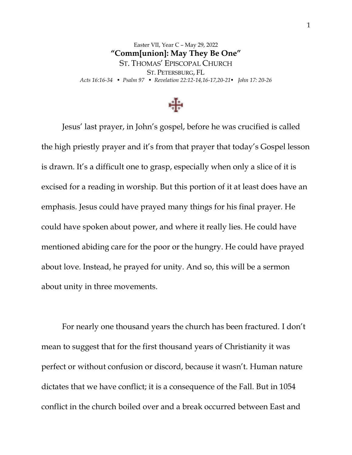Easter VII, Year C – May 29, 2022 **"Comm[union]: May They Be One"** ST. THOMAS' EPISCOPAL CHURCH ST. PETERSBURG, FL *Acts 16:16-34 • Psalm 97 • Revelation 22:12-14,16-17,20-21• John 17: 20-26*



Jesus' last prayer, in John's gospel, before he was crucified is called the high priestly prayer and it's from that prayer that today's Gospel lesson is drawn. It's a difficult one to grasp, especially when only a slice of it is excised for a reading in worship. But this portion of it at least does have an emphasis. Jesus could have prayed many things for his final prayer. He could have spoken about power, and where it really lies. He could have mentioned abiding care for the poor or the hungry. He could have prayed about love. Instead, he prayed for unity. And so, this will be a sermon about unity in three movements.

For nearly one thousand years the church has been fractured. I don't mean to suggest that for the first thousand years of Christianity it was perfect or without confusion or discord, because it wasn't. Human nature dictates that we have conflict; it is a consequence of the Fall. But in 1054 conflict in the church boiled over and a break occurred between East and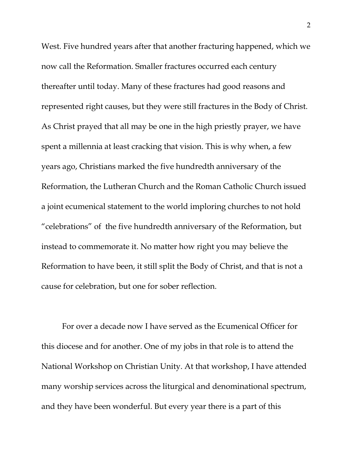West. Five hundred years after that another fracturing happened, which we now call the Reformation. Smaller fractures occurred each century thereafter until today. Many of these fractures had good reasons and represented right causes, but they were still fractures in the Body of Christ. As Christ prayed that all may be one in the high priestly prayer, we have spent a millennia at least cracking that vision. This is why when, a few years ago, Christians marked the five hundredth anniversary of the Reformation, the Lutheran Church and the Roman Catholic Church issued a joint ecumenical statement to the world imploring churches to not hold "celebrations" of the five hundredth anniversary of the Reformation, but instead to commemorate it. No matter how right you may believe the Reformation to have been, it still split the Body of Christ, and that is not a cause for celebration, but one for sober reflection.

For over a decade now I have served as the Ecumenical Officer for this diocese and for another. One of my jobs in that role is to attend the National Workshop on Christian Unity. At that workshop, I have attended many worship services across the liturgical and denominational spectrum, and they have been wonderful. But every year there is a part of this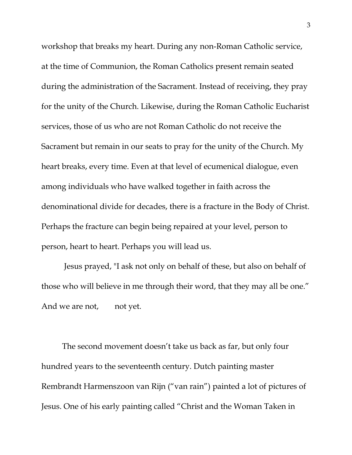workshop that breaks my heart. During any non-Roman Catholic service, at the time of Communion, the Roman Catholics present remain seated during the administration of the Sacrament. Instead of receiving, they pray for the unity of the Church. Likewise, during the Roman Catholic Eucharist services, those of us who are not Roman Catholic do not receive the Sacrament but remain in our seats to pray for the unity of the Church. My heart breaks, every time. Even at that level of ecumenical dialogue, even among individuals who have walked together in faith across the denominational divide for decades, there is a fracture in the Body of Christ. Perhaps the fracture can begin being repaired at your level, person to person, heart to heart. Perhaps you will lead us.

Jesus prayed, "I ask not only on behalf of these, but also on behalf of those who will believe in me through their word, that they may all be one." And we are not, not yet.

The second movement doesn't take us back as far, but only four hundred years to the seventeenth century. Dutch painting master Rembrandt Harmenszoon van Rijn ("van rain") painted a lot of pictures of Jesus. One of his early painting called "Christ and the Woman Taken in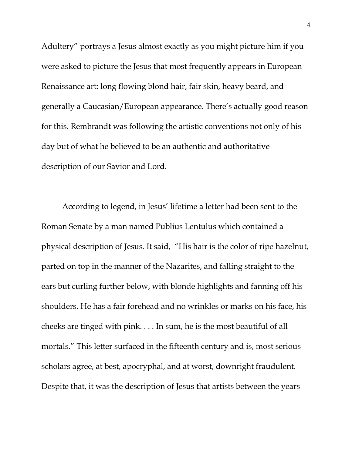Adultery" portrays a Jesus almost exactly as you might picture him if you were asked to picture the Jesus that most frequently appears in European Renaissance art: long flowing blond hair, fair skin, heavy beard, and generally a Caucasian/European appearance. There's actually good reason for this. Rembrandt was following the artistic conventions not only of his day but of what he believed to be an authentic and authoritative description of our Savior and Lord.

According to legend, in Jesus' lifetime a letter had been sent to the Roman Senate by a man named Publius Lentulus which contained a physical description of Jesus. It said, "His hair is the color of ripe hazelnut, parted on top in the manner of the Nazarites, and falling straight to the ears but curling further below, with blonde highlights and fanning off his shoulders. He has a fair forehead and no wrinkles or marks on his face, his cheeks are tinged with pink. . . . In sum, he is the most beautiful of all mortals." This letter surfaced in the fifteenth century and is, most serious scholars agree, at best, apocryphal, and at worst, downright fraudulent. Despite that, it was the description of Jesus that artists between the years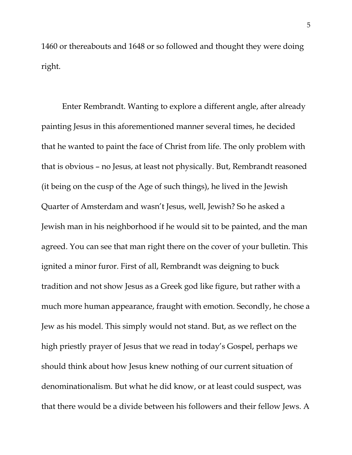1460 or thereabouts and 1648 or so followed and thought they were doing right.

Enter Rembrandt. Wanting to explore a different angle, after already painting Jesus in this aforementioned manner several times, he decided that he wanted to paint the face of Christ from life. The only problem with that is obvious – no Jesus, at least not physically. But, Rembrandt reasoned (it being on the cusp of the Age of such things), he lived in the Jewish Quarter of Amsterdam and wasn't Jesus, well, Jewish? So he asked a Jewish man in his neighborhood if he would sit to be painted, and the man agreed. You can see that man right there on the cover of your bulletin. This ignited a minor furor. First of all, Rembrandt was deigning to buck tradition and not show Jesus as a Greek god like figure, but rather with a much more human appearance, fraught with emotion. Secondly, he chose a Jew as his model. This simply would not stand. But, as we reflect on the high priestly prayer of Jesus that we read in today's Gospel, perhaps we should think about how Jesus knew nothing of our current situation of denominationalism. But what he did know, or at least could suspect, was that there would be a divide between his followers and their fellow Jews. A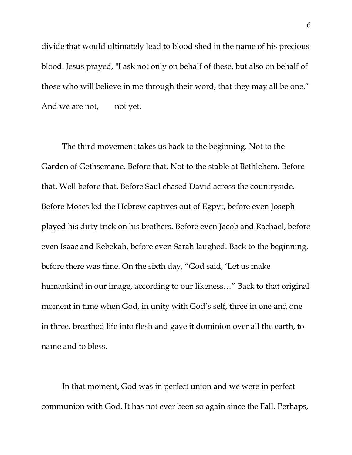divide that would ultimately lead to blood shed in the name of his precious blood. Jesus prayed, "I ask not only on behalf of these, but also on behalf of those who will believe in me through their word, that they may all be one." And we are not, not yet.

The third movement takes us back to the beginning. Not to the Garden of Gethsemane. Before that. Not to the stable at Bethlehem. Before that. Well before that. Before Saul chased David across the countryside. Before Moses led the Hebrew captives out of Egpyt, before even Joseph played his dirty trick on his brothers. Before even Jacob and Rachael, before even Isaac and Rebekah, before even Sarah laughed. Back to the beginning, before there was time. On the sixth day, "God said, 'Let us make humankind in our image, according to our likeness…" Back to that original moment in time when God, in unity with God's self, three in one and one in three, breathed life into flesh and gave it dominion over all the earth, to name and to bless.

In that moment, God was in perfect union and we were in perfect communion with God. It has not ever been so again since the Fall. Perhaps,